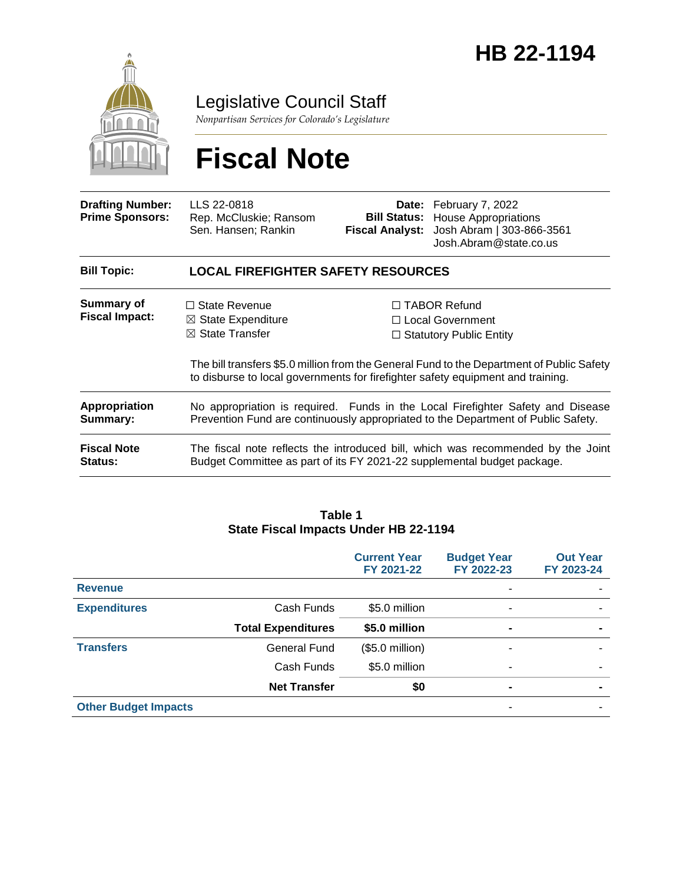

Legislative Council Staff

*Nonpartisan Services for Colorado's Legislature*

# **Fiscal Note**

| <b>Drafting Number:</b><br><b>Prime Sponsors:</b> | LLS 22-0818<br>Rep. McCluskie; Ransom<br>Sen. Hansen; Rankin                                                                                                                 | <b>Fiscal Analyst:</b> | <b>Date:</b> February 7, 2022<br><b>Bill Status:</b> House Appropriations<br>Josh Abram   303-866-3561<br>Josh.Abram@state.co.us |  |  |
|---------------------------------------------------|------------------------------------------------------------------------------------------------------------------------------------------------------------------------------|------------------------|----------------------------------------------------------------------------------------------------------------------------------|--|--|
| <b>Bill Topic:</b>                                | <b>LOCAL FIREFIGHTER SAFETY RESOURCES</b>                                                                                                                                    |                        |                                                                                                                                  |  |  |
| Summary of<br><b>Fiscal Impact:</b>               | $\Box$ State Revenue                                                                                                                                                         |                        | $\Box$ TABOR Refund                                                                                                              |  |  |
|                                                   | $\boxtimes$ State Expenditure                                                                                                                                                |                        | $\Box$ Local Government                                                                                                          |  |  |
|                                                   | $\boxtimes$ State Transfer                                                                                                                                                   |                        | $\Box$ Statutory Public Entity                                                                                                   |  |  |
|                                                   | The bill transfers \$5.0 million from the General Fund to the Department of Public Safety<br>to disburse to local governments for firefighter safety equipment and training. |                        |                                                                                                                                  |  |  |
| Appropriation<br>Summary:                         | No appropriation is required. Funds in the Local Firefighter Safety and Disease<br>Prevention Fund are continuously appropriated to the Department of Public Safety.         |                        |                                                                                                                                  |  |  |
| <b>Fiscal Note</b><br><b>Status:</b>              | The fiscal note reflects the introduced bill, which was recommended by the Joint<br>Budget Committee as part of its FY 2021-22 supplemental budget package.                  |                        |                                                                                                                                  |  |  |

# **Table 1 State Fiscal Impacts Under HB 22-1194**

|                             |                           | <b>Current Year</b><br>FY 2021-22 | <b>Budget Year</b><br>FY 2022-23 | <b>Out Year</b><br>FY 2023-24 |
|-----------------------------|---------------------------|-----------------------------------|----------------------------------|-------------------------------|
| <b>Revenue</b>              |                           |                                   |                                  |                               |
| <b>Expenditures</b>         | Cash Funds                | \$5.0 million                     | ۰                                |                               |
|                             | <b>Total Expenditures</b> | \$5.0 million                     | $\blacksquare$                   | $\blacksquare$                |
| <b>Transfers</b>            | General Fund              | $($5.0$ million)                  |                                  |                               |
|                             | Cash Funds                | \$5.0 million                     |                                  |                               |
|                             | <b>Net Transfer</b>       | \$0                               | $\blacksquare$                   | $\blacksquare$                |
| <b>Other Budget Impacts</b> |                           |                                   |                                  |                               |